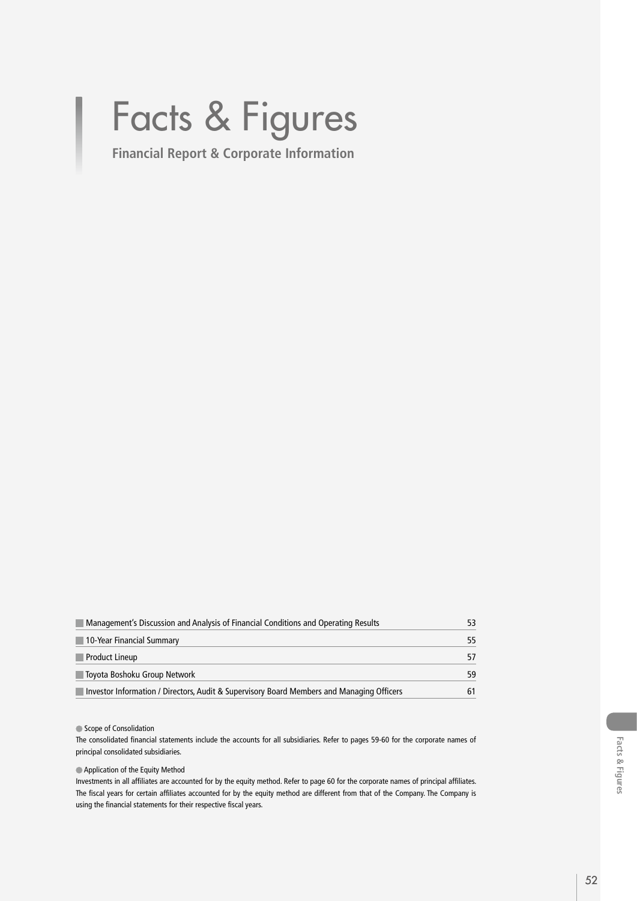# Facts & Figures

**Financial Report & Corporate Information**

| Management's Discussion and Analysis of Financial Conditions and Operating Results        |    |
|-------------------------------------------------------------------------------------------|----|
| 10-Year Financial Summary                                                                 | 55 |
| Product Lineup                                                                            |    |
| ∥Toyota Boshoku Group Network                                                             | 59 |
| Investor Information / Directors, Audit & Supervisory Board Members and Managing Officers |    |

#### Scope of Consolidation

The consolidated financial statements include the accounts for all subsidiaries. Refer to pages 59-60 for the corporate names of principal consolidated subsidiaries.

Application of the Equity Method

Investments in all affiliates are accounted for by the equity method. Refer to page 60 for the corporate names of principal affiliates. The fiscal years for certain affiliates accounted for by the equity method are different from that of the Company. The Company is using the financial statements for their respective fiscal years.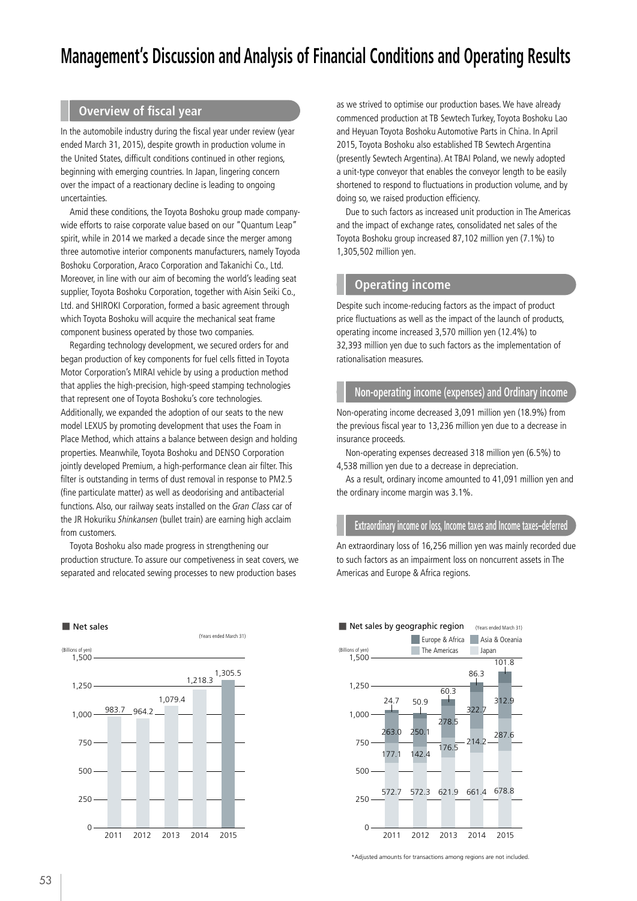# **Management's Discussion and Analysis of Financial Conditions and Operating Results**

## **Overview of fiscal year**

In the automobile industry during the fiscal year under review (year ended March 31, 2015), despite growth in production volume in the United States, difficult conditions continued in other regions, beginning with emerging countries. In Japan, lingering concern over the impact of a reactionary decline is leading to ongoing uncertainties.

Amid these conditions, the Toyota Boshoku group made companywide efforts to raise corporate value based on our "Quantum Leap" spirit, while in 2014 we marked a decade since the merger among three automotive interior components manufacturers, namely Toyoda Boshoku Corporation, Araco Corporation and Takanichi Co., Ltd. Moreover, in line with our aim of becoming the world's leading seat supplier, Toyota Boshoku Corporation, together with Aisin Seiki Co., Ltd. and SHIROKI Corporation, formed a basic agreement through which Toyota Boshoku will acquire the mechanical seat frame component business operated by those two companies.

Regarding technology development, we secured orders for and began production of key components for fuel cells fitted in Toyota Motor Corporation's MIRAI vehicle by using a production method that applies the high-precision, high-speed stamping technologies that represent one of Toyota Boshoku's core technologies. Additionally, we expanded the adoption of our seats to the new model LEXUS by promoting development that uses the Foam in Place Method, which attains a balance between design and holding properties. Meanwhile, Toyota Boshoku and DENSO Corporation jointly developed Premium, a high-performance clean air filter. This filter is outstanding in terms of dust removal in response to PM2.5 (fine particulate matter) as well as deodorising and antibacterial functions. Also, our railway seats installed on the Gran Class car of the JR Hokuriku Shinkansen (bullet train) are earning high acclaim from customers.

Toyota Boshoku also made progress in strengthening our production structure. To assure our competiveness in seat covers, we separated and relocated sewing processes to new production bases



as we strived to optimise our production bases. We have already commenced production at TB Sewtech Turkey, Toyota Boshoku Lao and Heyuan Toyota Boshoku Automotive Parts in China. In April 2015, Toyota Boshoku also established TB Sewtech Argentina (presently Sewtech Argentina). At TBAI Poland, we newly adopted a unit-type conveyor that enables the conveyor length to be easily shortened to respond to fluctuations in production volume, and by doing so, we raised production efficiency.

Due to such factors as increased unit production in The Americas and the impact of exchange rates, consolidated net sales of the Toyota Boshoku group increased 87,102 million yen (7.1%) to 1,305,502 million yen.

#### **Operating income**

Despite such income-reducing factors as the impact of product price fluctuations as well as the impact of the launch of products, operating income increased 3,570 million yen (12.4%) to 32,393 million yen due to such factors as the implementation of rationalisation measures.

#### **Non-operating income (expenses) and Ordinary income**

Non-operating income decreased 3,091 million yen (18.9%) from the previous fiscal year to 13,236 million yen due to a decrease in insurance proceeds.

Non-operating expenses decreased 318 million yen (6.5%) to 4,538 million yen due to a decrease in depreciation.

As a result, ordinary income amounted to 41,091 million yen and the ordinary income margin was 3.1%.

#### **Extraordinary income or loss, Income taxes and Income taxes–deferred**

An extraordinary loss of 16,256 million yen was mainly recorded due to such factors as an impairment loss on noncurrent assets in The Americas and Europe & Africa regions.



\*Adjusted amounts for transactions among regions are not included.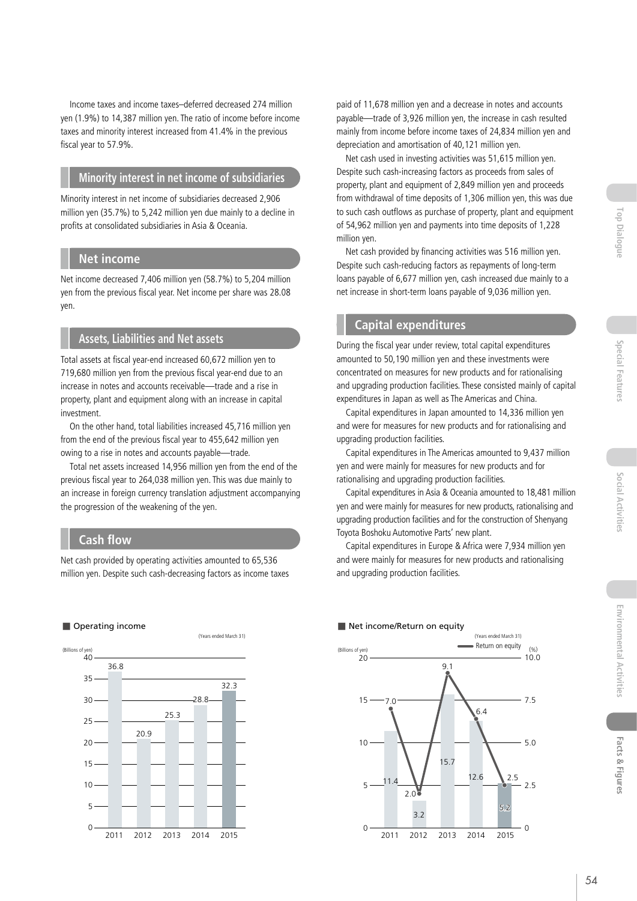Income taxes and income taxes–deferred decreased 274 million yen (1.9%) to 14,387 million yen. The ratio of income before income taxes and minority interest increased from 41.4% in the previous fiscal year to 57.9%.

#### **Minority interest in net income of subsidiaries**

Minority interest in net income of subsidiaries decreased 2,906 million yen (35.7%) to 5,242 million yen due mainly to a decline in profits at consolidated subsidiaries in Asia & Oceania.

#### **Net income**

Net income decreased 7,406 million yen (58.7%) to 5,204 million yen from the previous fiscal year. Net income per share was 28.08 yen.

## **Assets, Liabilities and Net assets**

Total assets at fiscal year-end increased 60,672 million yen to 719,680 million yen from the previous fiscal year-end due to an increase in notes and accounts receivable—trade and a rise in property, plant and equipment along with an increase in capital investment.

On the other hand, total liabilities increased 45,716 million yen from the end of the previous fiscal year to 455,642 million yen owing to a rise in notes and accounts payable—trade.

Total net assets increased 14,956 million yen from the end of the previous fiscal year to 264,038 million yen. This was due mainly to an increase in foreign currency translation adjustment accompanying the progression of the weakening of the yen.

# **Cash flow**

Net cash provided by operating activities amounted to 65,536 million yen. Despite such cash-decreasing factors as income taxes

#### ■ Operating income



paid of 11,678 million yen and a decrease in notes and accounts payable—trade of 3,926 million yen, the increase in cash resulted mainly from income before income taxes of 24,834 million yen and depreciation and amortisation of 40,121 million yen.

Net cash used in investing activities was 51,615 million yen. Despite such cash-increasing factors as proceeds from sales of property, plant and equipment of 2,849 million yen and proceeds from withdrawal of time deposits of 1,306 million yen, this was due to such cash outflows as purchase of property, plant and equipment of 54,962 million yen and payments into time deposits of 1,228 million yen.

Net cash provided by financing activities was 516 million yen. Despite such cash-reducing factors as repayments of long-term loans payable of 6,677 million yen, cash increased due mainly to a net increase in short-term loans payable of 9,036 million yen.

# **Capital expenditures**

During the fiscal year under review, total capital expenditures amounted to 50,190 million yen and these investments were concentrated on measures for new products and for rationalising and upgrading production facilities. These consisted mainly of capital expenditures in Japan as well as The Americas and China.

Capital expenditures in Japan amounted to 14,336 million yen and were for measures for new products and for rationalising and upgrading production facilities.

Capital expenditures in The Americas amounted to 9,437 million yen and were mainly for measures for new products and for rationalising and upgrading production facilities.

Capital expenditures in Asia & Oceania amounted to 18,481 million yen and were mainly for measures for new products, rationalising and upgrading production facilities and for the construction of Shenyang Toyota Boshoku Automotive Parts' new plant.

Capital expenditures in Europe & Africa were 7,934 million yen and were mainly for measures for new products and rationalising and upgrading production facilities.



#### ■ Net income/Return on equity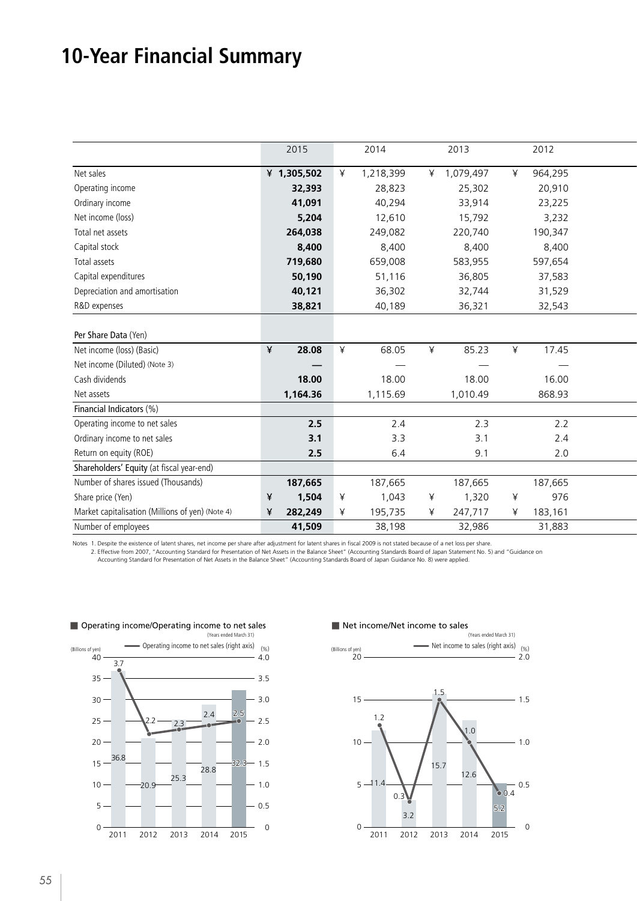# **10-Year Financial Summary**

|                                                  |                          | 2015        |              | 2014                            |   | 2013        |   | 2012              |  |
|--------------------------------------------------|--------------------------|-------------|--------------|---------------------------------|---|-------------|---|-------------------|--|
| Net sales                                        |                          | ¥ 1,305,502 |              | 1,218,399                       |   | ¥ 1,079,497 | ¥ | 964,295           |  |
| Operating income                                 |                          | 32,393      |              | 28,823                          |   | 25,302      |   | 20,910            |  |
| Ordinary income                                  |                          | 41,091      |              | 40,294                          |   | 33,914      |   | 23,225            |  |
| Net income (loss)                                |                          | 5,204       |              | 12,610                          |   | 15,792      |   | 3,232             |  |
| Total net assets                                 |                          | 264,038     |              | 249,082                         |   | 220,740     |   | 190,347           |  |
| Capital stock                                    |                          | 8,400       |              | 8,400                           |   | 8,400       |   | 8,400             |  |
| Total assets                                     |                          | 719,680     |              | 659,008                         |   | 583,955     |   | 597,654           |  |
| Capital expenditures                             |                          | 50,190      |              | 51,116                          |   | 36,805      |   | 37,583            |  |
| Depreciation and amortisation                    |                          | 40,121      |              | 36,302                          |   | 32,744      |   | 31,529            |  |
| R&D expenses                                     |                          | 38,821      |              | 40,189                          |   | 36,321      |   | 32,543            |  |
|                                                  |                          |             |              |                                 |   |             |   |                   |  |
| Per Share Data (Yen)                             |                          |             |              |                                 |   |             |   |                   |  |
| Net income (loss) (Basic)                        | $\mathbf{\underline{V}}$ | 28.08       | ¥            | 68.05                           | ¥ | 85.23       | ¥ | 17.45             |  |
| Net income (Diluted) (Note 3)                    |                          |             |              | $\hspace{0.1mm}-\hspace{0.1mm}$ |   |             |   | $\hspace{0.05cm}$ |  |
| Cash dividends                                   |                          | 18.00       |              | 18.00                           |   | 18.00       |   | 16.00             |  |
| Net assets                                       |                          | 1,164.36    |              | 1,115.69                        |   | 1,010.49    |   | 868.93            |  |
| Financial Indicators (%)                         |                          |             |              |                                 |   |             |   |                   |  |
| Operating income to net sales                    |                          | 2.5         |              | 2.4                             |   | 2.3         |   | 2.2               |  |
| Ordinary income to net sales                     |                          | 3.1         |              | 3.3                             |   | 3.1         |   | 2.4               |  |
| Return on equity (ROE)                           |                          | 2.5         |              | 6.4                             |   | 9.1         |   | 2.0               |  |
| Shareholders' Equity (at fiscal year-end)        |                          |             |              |                                 |   |             |   |                   |  |
| Number of shares issued (Thousands)              |                          | 187,665     |              | 187,665                         |   | 187,665     |   | 187,665           |  |
| Share price (Yen)                                |                          | 1,504       | $\mathsf{R}$ | 1,043                           | ¥ | 1,320       | ¥ | 976               |  |
| Market capitalisation (Millions of yen) (Note 4) | ¥                        | 282,249     |              | 195,735                         |   | 247,717     |   | 183,161           |  |
| Number of employees                              |                          | 41,509      |              | 38,198                          |   | 32,986      |   | 31,883            |  |
|                                                  |                          |             |              |                                 |   |             |   |                   |  |

Notes 1. Despite the existence of latent shares, net income per share after adjustment for latent shares in fiscal 2009 is not stated because of a net loss per share. 2. Effective from 2007, "Accounting Standard for Presentation of Net Assets in the Balance Sheet" (Accounting Standards Board of Japan Statement No. 5) and "Guidance on<br>Accounting Standard for Presentation of Net Assets in



## ■ Operating income/Operating income to net sales